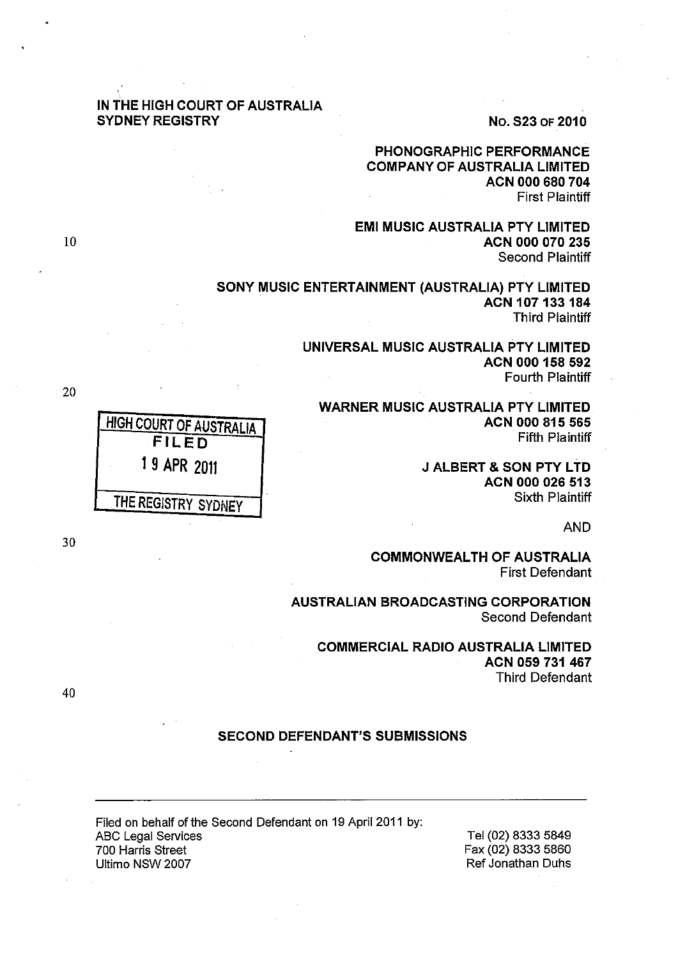# IN THE HIGH COURT OF AUSTRALIA SYDNEY REGISTRY NO. S23 OF 2010

# PHONOGRAPHIC PERFORMANCE COMPANY OF AUSTRALIA LIMITED ACN 000 680 704 First Plaintiff

EMI MUSIC AUSTRALIA PTY LIMITED ACN 000 070 235 Second Plaintiff

SONY MUSIC ENTERTAINMENT (AUSTRALIA) PTY LIMITED ACN 107133 184 Third Plaintiff

> UNIVERSAL MUSIC AUSTRALIA PTY LIMITED ACN 000 158 592 Fourth Plaintiff

WARNER MUSIC AUSTRALIA PTY LIMITED ACN 000 815 565 Fifth Plaintiff

> **J ALBERT & SON PTY LTD** ACN 000 026 513 Sixth Plaintiff

> > AND

COMMONWEALTH OF AUSTRALIA First Defendant

AUSTRALIAN BROADCASTING CORPORATION Second Defendant

COMMERCIAL RADIO AUSTRALIA LIMITED ACN 059 731 467 Third Defendant

## SECOND DEFENDANT'S SUBMISSIONS

Filed on behalf of the Second Defendant on 19 April 2011 by: **ABC Legal Services** 700 Harris Street Ultimo NSW 2007

Tel (02) 8333 5849 Fax (02) 8333 5860 Ref Jonathan Duhs

HIGH COURT OF AUSTRALIA FILED 1 9 APR 2011 THE REGISTRY SYDNEY

30

40

20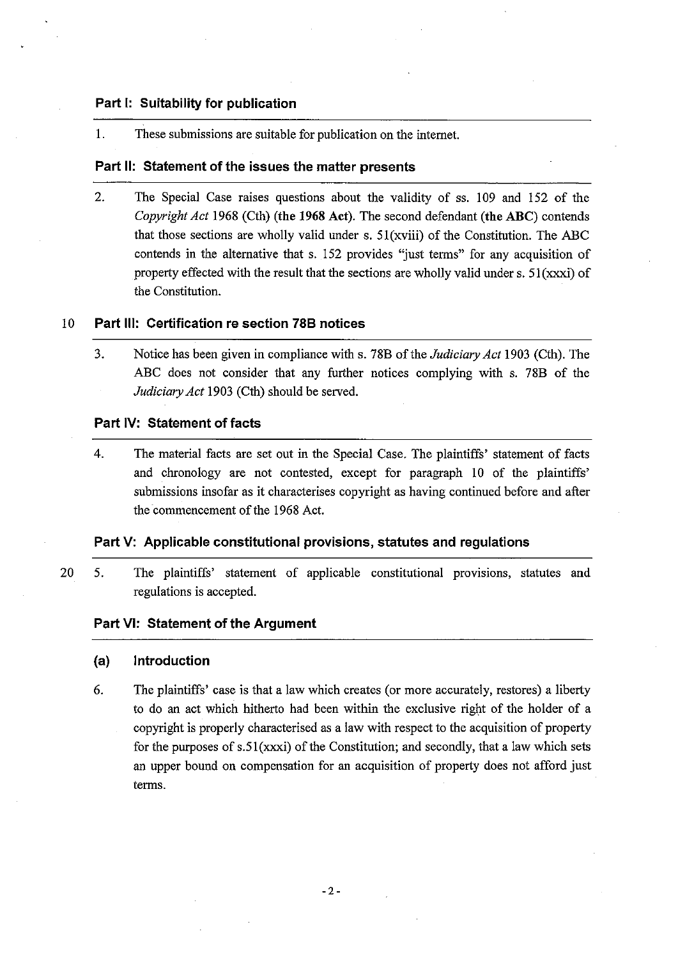## **Part I: Suitability for publication**

1. These submissions are suitable for publication on the internet.

## **Part 11: Statement of the issues the matter presents**

2. The Special Case raises questions about the validity of ss. 109 and 152 of the *Copyright Act* 1968 (Cth) (the 1968 Act). The second defendant (the ABC) contends that those sections are wholly valid under s.  $51(xviii)$  of the Constitution. The ABC contends in the alternative that s. 152 provides "just terms" for any acquisition of property effected with the result that the sections are wholly valid under s.  $51(xxxi)$  of the Constitution.

## 10 **Part Ill: Certification re section 788 notices**

3. Notice has been given in compliance with s. 78B of the *Judiciary Act* 1903 (Cth). The ABC does not consider that any further notices complying with s. 78B of the *Judiciary Act* 1903 (Cth) should be served.

## **Part IV: Statement of facts**

4. The material facts are set out in the Special Case. The plaintiffs' statement of facts and chronology are not contested, except for paragraph 10 of the plaintiffs' submissions insofar as it characterises copyright as having continued before and after the commencement of the 1968 Act.

# **Part V: Applicable constitutional provisions, statutes and regulations**

20 5. The plaintiffs' statement of applicable constitutional provisions, statutes and regulations is accepted.

### **Part VI: Statement of the Argument**

### **(a) Introduction**

6. The plaintiffs' case is that a law which creates (or more accurately, restores) a liberty to do an act which hitherto had been within the exclusive right of the holder of a copyright is properly characterised as a law with respect to the acquisition of property for the purposes of  $s.51(xxxi)$  of the Constitution; and secondly, that a law which sets an upper bound on compensation for an acquisition of property does not afford just terms.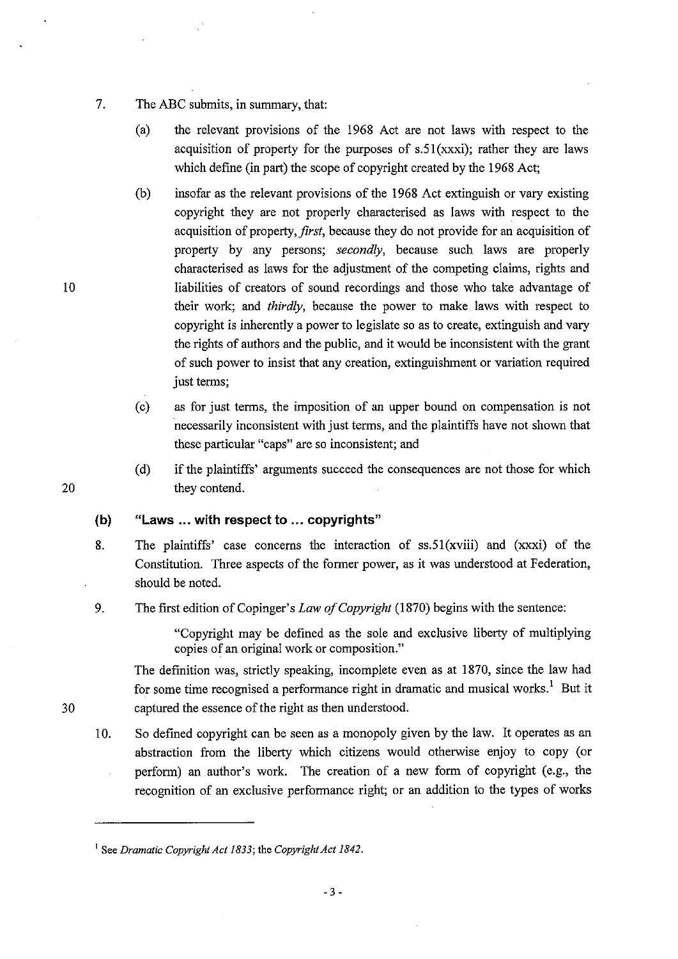- 7. The ABC submits, in summary, that:
	- (a) the relevant provisions of the 1968 Act are not laws with respect to the acquisition of property for the purposes of  $s.51(xxxi)$ ; rather they are laws which define (in part) the scope of copyright created by the 1968 Act;
	- (b) insofar as the relevant provisions of the 1968 Act extinguish or vary existing copyright they are not properly characterised as laws with respect to the acquisition of property, *first*, because they do not provide for an acquisition of property by any persons; *secondly,* because such laws are properly characterised as laws for the adjustment of the competing claims, rights and liabilities of creators of sound recordings and those who take advantage of their work; and *thirdly,* because the power to make laws with respect to copyright is inherently a power to legislate so as to create, extinguish and vary the rights of authors and the public, and it would be inconsistent with the grant of such power to insist that any creation, extinguishment or variation required just terms;
	- ( c) as for just terms, the imposition of an upper bound on compensation is not necessarily inconsistent with just terms, and the plaintiffs have not shown that these particular "caps" are so inconsistent; and
	- (d) if the plaintiffs' arguments succeed the consequences are not those for which they contend.

#### **(b) "Laws ... with respect to ... copyrights"**

- 8. The plaintiffs' case concerns the interaction of ss.51(xviii) and (xxxi) of the Constitution. Three aspects of the former power, as it was understood at Federation, should be noted.
- 9. The first edition of Copinger's *Law of Copyright* (1870) begins with the sentence:

"Copyright may be defined as the sole and exclusive liberty of multiplying copies of an original work or composition."

The definition was, strictly speaking, incomplete even as. at 1870, since the law had for some time recognised a performance right in dramatic and musical works.<sup>1</sup> But it captured the essence of the right as then understood.

10. So defined copyright can be seen as a monopoly given by the law. It operates as an abstraction from the liberty which citizens would otherwise enjoy to copy (or perform) an author's work. The creation of a new form of copyright (e.g., the recognition of an exclusive performance right; or an addition to the types of works

- 3 -

20

10

<sup>&</sup>lt;sup>1</sup> See *Dramatic Copyright Act 1833*; the *Copyright Act 1842*.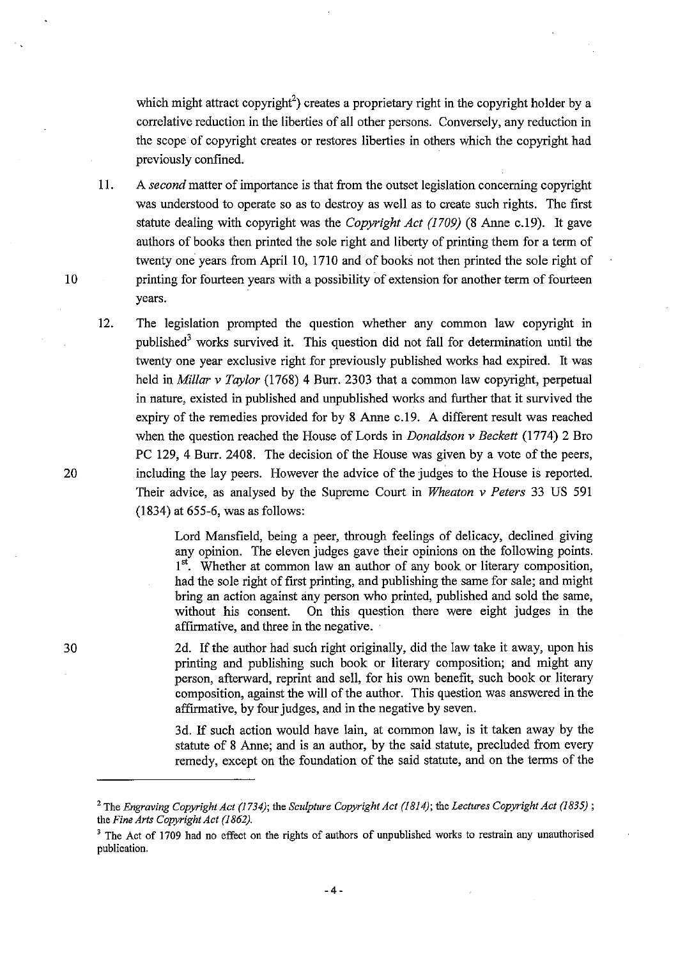which might attract copyright<sup>2</sup>) creates a proprietary right in the copyright holder by a correlative reduction in the liberties of all other persons. Conversely, any reduction in the scope of copyright creates or restores liberties in others which the copyright had previously confined.

- 11. A *second* matter of importance is that from the outset legislation concerning copyright was understood to operate so as to destroy as well as to create such rights. The first statute dealing with copyright was the *Copyright Act (1709)* (8 Anne c.19). It gave authors of books then printed the sole right and liberty of printing them for a term of twenty one years from April 10, 1710 and of books not then printed the sole right of printing for fourteen years with a possibility of extension for another term of fourteen years.
- 12. The legislation prompted the question whether any common law copyright in published<sup>3</sup> works survived it. This question did not fall for determination until the twenty one year exclusive right for previously published works had expired. It was held in *Millar* v *Taylor* (1768) 4 Burr. 2303 that a common law copyright, perpetual in nature, existed in published and unpublished works and further that it survived the expiry of the remedies provided for by 8 Anne c.19. A different result was reached when the question reached the House of Lords in *Donaldson* v *Beckett* (1774) 2 Bro PC 129, 4 Burr. 2408. The decision of the House was given by a vote of the peers, including the lay peers. However the advice of the judges to the House is reported. Their advice, as analysed by the Supreme Court in *Wheaton* v *Peters* 33 US 591 (1834) at 655-6, was as follows:

Lord Mansfield, being a peer, through feelings of delicacy, declined giving any opinion. The eleven judges gave their opinions on the following points.  $1<sup>st</sup>$ . Whether at common law an author of any book or literary composition, had the sole right of first printing, and publishing the same for sale; and might bring an action against any person who printed, published and sold the same, without his consent. On this question there were eight judges in the affIrmative, and three in the negative.

2d. If the author had such right originally, did the law take it away, upon his printing and publishing such book or literary composition; and might any person, afterward, reprint and sell, for his own benefit, such book or literary composition, against the will of the author. This question was answered in the affirmative, by four judges, and in the negative by seven.

3d. If such action would have lain, at common law, is it taken away by the statute of 8 Anne; and is an author, by the said statute, precluded from every remedy, except on the foundation of the said statute, and on the terms of the

10

20

<sup>&</sup>lt;sup>2</sup> The *Engraving Copyright Act (1734)*; the *Sculpture Copyright Act (1814)*; the *Lectures Copyright Act (1835)*; the *Fine Arts Copyright Act* (1862).

<sup>&</sup>lt;sup>3</sup> The Act of 1709 had no effect on the rights of authors of unpublished works to restrain any unauthorised publication.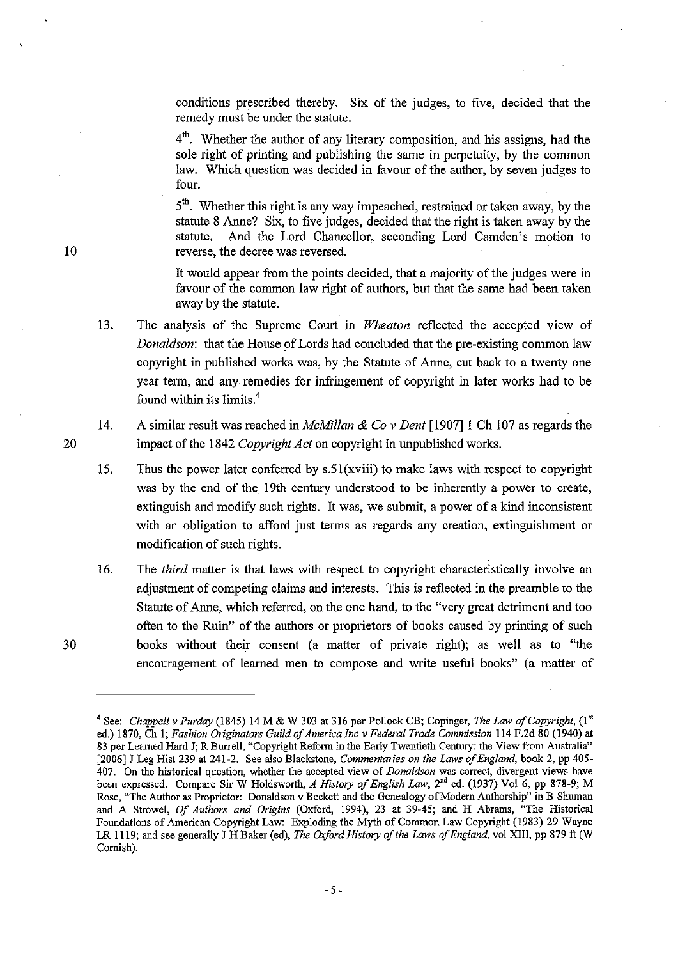conditions prescribed thereby. Six of the judges, to five, decided that the remedy must be under the statute.

 $4<sup>th</sup>$ . Whether the author of any literary composition, and his assigns, had the sole right of printing and publishing the same in perpetuity, by the common law. Which question was decided in favour of the author, by seven judges to four.

 $5<sup>th</sup>$ . Whether this right is any way impeached, restrained or taken away, by the statute 8 Anne? Six, to five judges, decided that the right is taken away by the statute. And the .Lord Chancellor, seconding Lord Camden's motion to reverse, the decree was reversed. .

It would appear from the points decided, that a majority of the judges were in favour of the common law right of authors, but that the same had been taken away by the statute.

13. The analysis of the Supreme Court in *Wheaton* reflected the accepted view of *Donaldson:* that the House of Lords had concluded that the pre-existing common law copyright in published works was, by the Statute of Anne, cut back to a twenty one year term, and any remedies for infringement of copyright in later works had to be found within its limits.<sup>4</sup>

14. A similar result was reached in *McMillan* & *Co* v *Dent* [1907]1 Ch 107 as regards the impact of the 1842 *Copyright Act* on copyright in unpublished works.

15. Thus the power later conferred by s.51(xviii) to make laws with respect to copyright was by the end of the 19th century understood to be inherently a power to create, extinguish and modify such rights. It was, we submit, a power of a kind inconsistent with an obligation to afford just terms as regards any creation, extinguishment or modification of such rights.

16. The *third* matter is that laws with respect to copyright characteristically involve an adjustment of competing claims and interests. This is reflected in the preamble to the Statute of Anne, which referred, on the one hand, to the "very great detriment and too often to the Ruin" of the authors or proprietors of books caused by printing of such books without their consent (a matter of private right); as well as to "the encouragement of learned men to compose and write useful books" (a matter of

10

20

<sup>&</sup>lt;sup>4</sup> See: *Chappell v Purday* (1845) 14 M & W 303 at 316 per Pollock CB; Copinger, *The Law of Copyright*, (1<sup>st</sup>) ed.) 1870, Ch 1; *Fashion Originators Guild of America Inc* v *Federal Trade Commission* 114 F.2d 80 (1940) at 83 per Learned Hard J; R Burrell, "Copyright Reform in the Early Twentieth Century: the View from Australia" [2006] J Leg Hist 239 at 241-2. See also Blackstone, *Commentaries on the Laws of England,* book 2, pp 405- 407. On the historical question, whether the accepted view of *Donaldson* was correct, divergent views have been expressed. Compare Sir W Holdsworth, *A History of English Law,* 2'd ed. (1937) Vol 6, pp 878-9; M Rose, "The Author as Proprietor: Donaldson v Beckett and the Genealogy of Modem Authorship" in B Shuman and A Strawel, *Of Authors and Origins* (Oxford, 1994), 23 at 39-45; and H Abrarns, "The Historical Foundations of American Copyright Law: Exploding the Myth of Common Law Copyright (1983) 29 Wayne LR 1119; and see generally J H Baker (ed), *The Oxford History of the Laws of England,* vol XIII, pp 879 ft (W Cornish).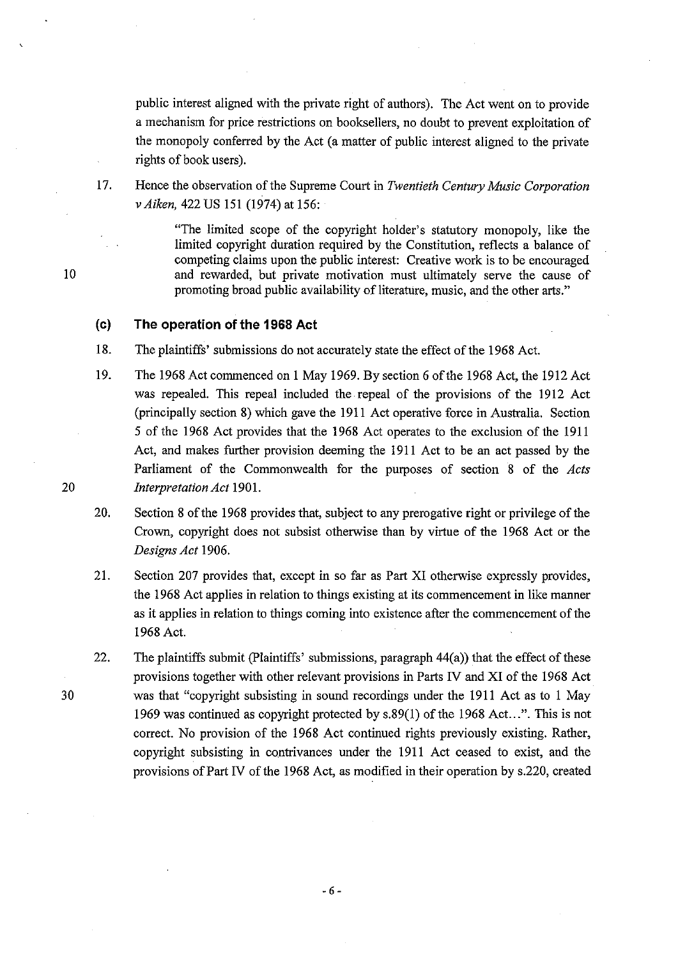public interest aligned with the private right of authors). The Act went on to provide a mechanism for price restrictions on booksellers, no doubt to prevent exploitation of the monopoly conferred by the Act (a matter of public interest aligned to the private rights of book users).

17. Hence the observation of the Supreme Court in *Twentieth Century Music Corporation*  v *Aiken,* 422 US 151 (1974) at 156:

> "The limited scope of the copyright holder's statutory monopoly, like the limited copyright duration required by the Constitution, reflects a balance of competing claims upon the public interest: Creative work is to be encouraged and rewarded, but private motivation must ultimately serve the cause of promoting broad public availability of literature, music, and the other arts."

#### **(c) The operation of the 1968 Act**

18. The plaintiffs' submissions do not accurately state the effect of the 1968 Act.

19. The 1968 Act commenced on 1 May 1969. By section 6 of the 1968 Act, the 1912 Act was repealed. This repeal included the repeal of the provisions of the 1912 Act (principally section 8) which gave the 1911 Act operative force in Australia. Section 5 of the 1968 Act provides that the 1968 Act operates to the exclusion of the 1911 Act, and makes further provision deeming the 1911 Act to be an act passed by the Parliament of the Commonwealth for the purposes of section 8 of the *Acts Interpretation Act* 1901.

20. Section 8 of the 1968 provides that, subject to any prerogative right or privilege of the Crown, copyright does not subsist otherwise than by virtue of the 1968 Act or the *Designs Act 1906.* 

21. Section 207 provides that, except in so far as Part XI otherwise expressly provides, the 1968 Act applies in relation to things existing at its commencement in like manner as it applies in relation to things coming into existence after the commencement of the 1968 Act.

22. The plaintiffs submit (plaintiffs' submissions, paragraph 44(a)) that the effect of these provisions together with other relevant provisions in Parts IV and XI of the 1968 Act was that "copyright subsisting in sound recordings under the 1911 Act as to 1 May 1969 was continued as copyright protected by s.89(1) of the 1968 Act...". This is not correct. No provision of the 1968 Act continued rights previously existing. Rather, copyright subsisting in contrivances under the 1911 Act ceased to exist, and the provisions of Part IV of the 1968 Act, as modified in their operation by s.220, created

10

20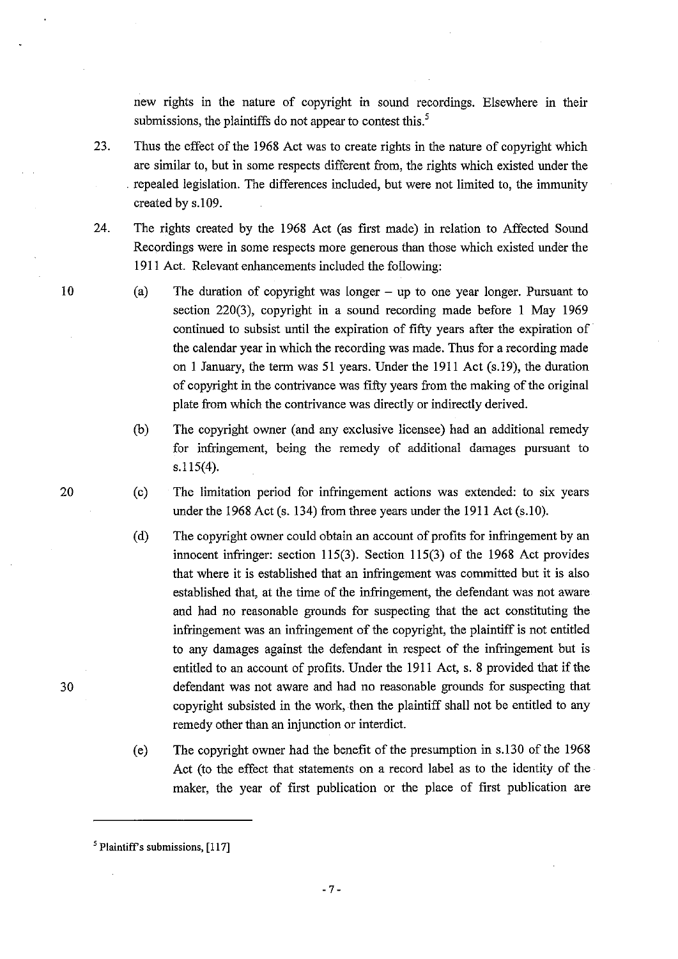new rights in the nature of copyright in sound recordings. Elsewhere in their submissions, the plaintiffs do not appear to contest this.<sup>5</sup>

- 23. Thus the effect of the 1968 Act was to create rights in the nature of copyright which are similar to, but in some respects different from, the rights which existed under the . repealed legislation. The differences included, but were not limited to, the immunity created by s.109.
- 24. The rights created by the 1968 Act (as first made) in relation to Affected Sound Recordings were in some respects more generous than those which existed under the 1911 Act. Relevant enhancements included the following:
	- (a) The duration of copyright was longer up to one year longer. Pursuant to section 220(3), copyright in a sound recording made before 1 May 1969 continued to subsist until the expiration of fifty years after the expiration of the calendar year in which the recording was made. Thus for a recording made on 1 January, the term was 51 years. Under the 19l1 Act (s.19), the duration of copyright in the contrivance was fifty years from the making of the original plate from which the contrivance was directly or indirectly derived.
		- (b) The copyright owner (and any exclusive licensee) had an additional remedy for infringement, being the remedy of additional damages pursuant to  $s.115(4)$ .
		- (c) The limitation period for infringement actions was extended: to six years under the 1968 Act (s. 134) from three years under the 1911 Act (s.10).
		- (d) The copyright owner could obtain an account of profits for infringement by an innocent infringer: section 115(3). Section 115(3) of the 1968 Act provides that where it is established that an infringement was committed but it is also established that, at the time of the infringement, the defendant was not aware and had no reasonable grounds for suspecting that the act constituting the infringement was an infringement of the copyright, the plaintiff is not entitled to any damages against the defendant in respect of the infringement but is entitled to an account of profits. Under the 1911 Act, s. 8 provided that if the defendant was not aware and had no reasonable grounds for suspecting that copyright subsisted in the work, then the plaintiff shall not be entitled to any remedy other than an injunction or interdict.
		- (e) The copyright owner had the benefit of the presumption in s.130 of the 1968 Act (to the effect that statements on a record label as to the identity of the maker, the year of first publication or the place of first publication are

10

20

 $<sup>5</sup>$  Plaintiff's submissions, [117]</sup>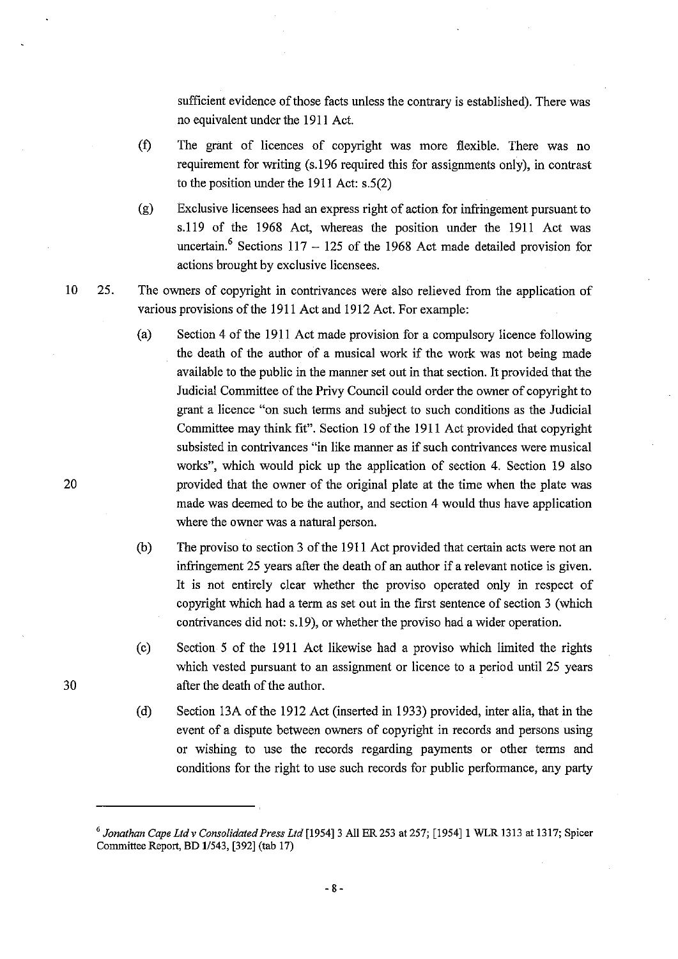sufficient evidence of those facts unless the contrary is established). There was no equivalent under the 1911 Act.

- (t) The grant of licences of copyright was more flexible. There was no requirement for writing (s.196 required this for assignments only), in contrast to the position under the 1911 Act: s.5(2)
- (g) Exclusive licensees had an express right of action for infringement pursuant to s.119 of the 1968 Act, whereas the position under the 1911 Act was uncertain.<sup>6</sup> Sections  $117 - 125$  of the 1968 Act made detailed provision for actions brought by exclusive licensees.
- 10 25. The owners of copyright in contrivances were also relieved from the application of various provisions of the 1911 Act and 1912 Act. For example:
	- (a) Section 4 of the 1911 Act made provision for a compulsory licence following the death of the author of a musical work if the work was not being made available to the public in the manner set out in that section. It provided that the Judicial Committee of the Privy Council could order the owner of copyright to grant a licence "on such tenns and subject to such conditions as the Judicial Committee may think fit". Section 19 of the 1911 Act provided that copyright subsisted in contrivances "in like manner as if such contrivances were musical works", which would pick up the application of section 4. Section 19 also provided that the owner of the original plate at the time when the plate was made was deemed to be the author, and section 4 would thus have application where the owner was a natural person.
	- (b) The proviso to section 3 of the 1911 Act provided that certain acts were not an infringement 25 years after the death of an author if a relevant notice is given. It is not entirely clear whether the proviso operated only in respect of copyright which had a term as set out in the first sentence of section 3 (which contrivances did not: s.19), or whether the proviso had a wider operation.
	- (c) Section 5 of the 1911 Act likewise had a proviso which limited the rights which vested pursuant to an assignment or licence to a period until 25 years after the death of the author.
	- (d) Section l3A of the 1912 Act (inserted in 1933) provided, inter alia, that in the event of a dispute between owners of copyright in records and persons using or wishing to use the records regarding payments or other tenns and conditions for the right to use such records for public perfonnance, any party

20

*<sup>6</sup> Jonathan Cape Ltd* v *Consolidated Press Ltd* [1954]3 All ER 253 at 257; [1954]1 WLR 1313 at 1317; Spicer Committee Report, BD *1/543,* [392] (tab 17)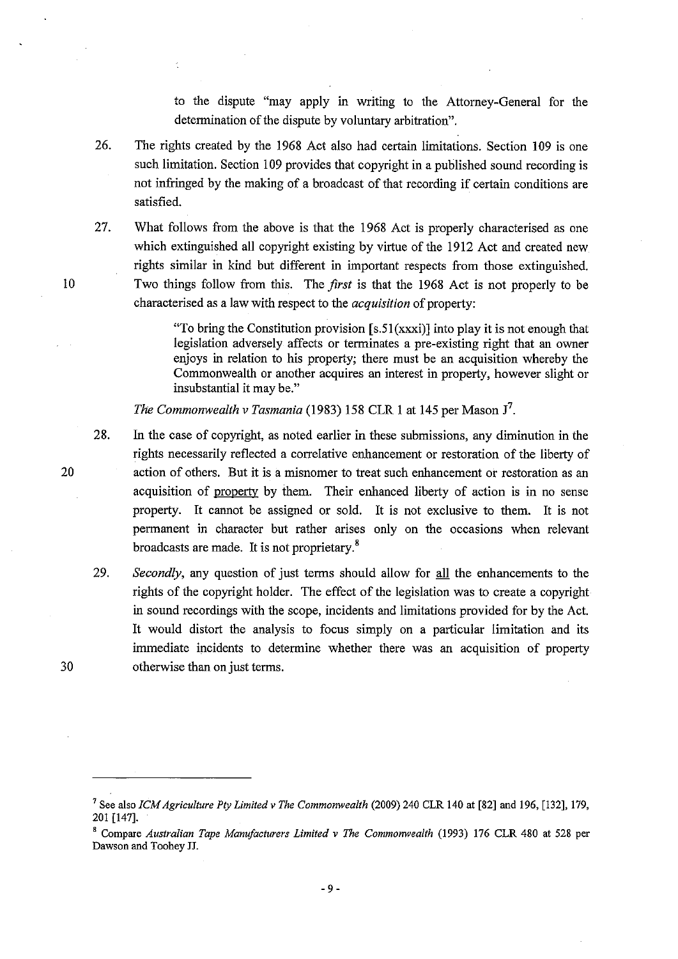to the dispute "may apply in writing to the Attorney-General for the determination of the dispute by voluntary arbitration".

- 26. The rights created by the 1968 Act also had certain limitations. Section 109 is one such limitation. Section 109 provides that copyright in a published sound recording is not infringed by the making of a broadcast of that recording if certain conditions are satisfied.
- 27. What follows from the above is that the 1968 Act is properly characterised as one which extinguished all copyright existing by virtue of the 1912 Act and created new rights similar in kind but different in important respects from those extinguished. Two things follow from this. The *first* is that the 1968 Act is not properly to be characterised as a law with respect to the *acquisition* of property:

"To bring the Constitution provision  $[s.51(xxx)]$  into play it is not enough that legislation adversely affects or terminates a pre-existing right that an owner enjoys in relation to his property; there must be an acquisition whereby the Commonwealth or another acquires an interest in property, however slight or insubstantial it may be."

*The Commonwealth* v *Tasmania* (1983) 158 CLR I at 145 per Mason J7.

- 28. In the case of copyright, as noted earlier in these submissions, any diminution in the rights necessarily reflected a correlative enhancement or restoration of the liberty of action of others. But it is a misnomer to treat such enhancement or restoration as an acquisition of property by them. Their enhanced liberty of action is in no sense property. It cannot be assigned or sold. It is not exclusive to them. It is not permanent in character but rather arises only on the occasions when relevant broadcasts are made. It is not proprietary.8
- *29. Secondly,* any question of just terms should allow for all the enhancements to the rights of the copyright holder. The effect of the legislation was to create a copyright in sound recordings with the scope, incidents and limitations provided for by the Act. It would distort the analysis to focus simply on a particular limitation and its immediate incidents to determine whether there was an acquisition of property otherwise than on just terms.

7 See also *ICM Agriculture Ply Limited* v *The Commonwealth* (2009) 240 CLR 140 at [82] and 196, [132], 179, 201 [147].

10

 $\hat{\mathcal{E}}$ 

20

<sup>8</sup> Compare *Australian Tape Manufacturers Limited* v *The Commonwealth* (1993) 176 CLR 480 at 528 per Dawson and Toohey JJ.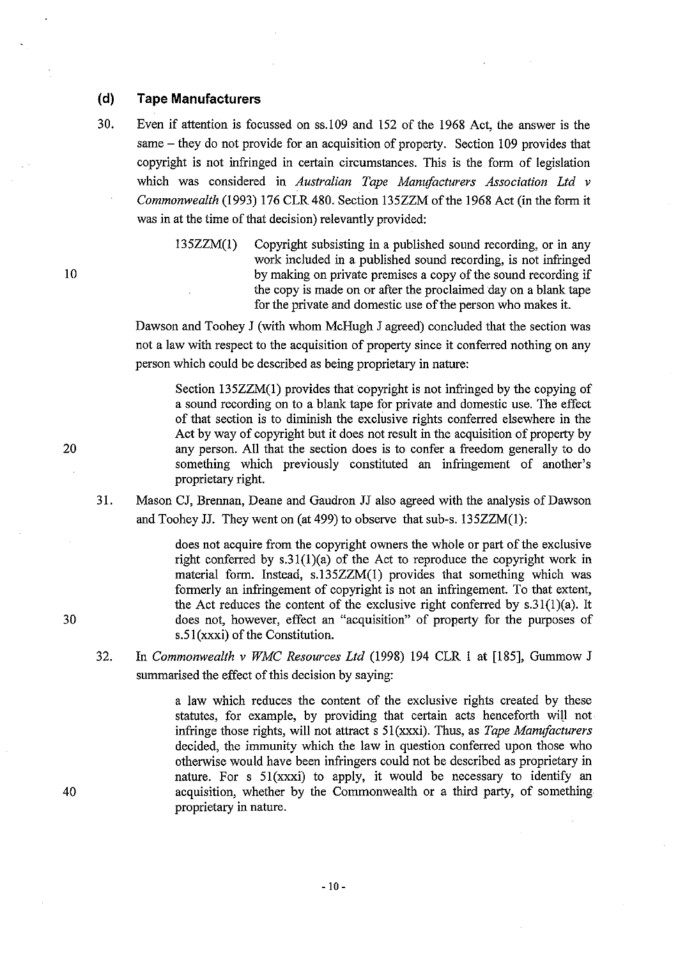## **(d) Tape Manufacturers**

30. Even if attention is focussed on ss.l09 and 152 of the 1968 Act, the answer is the same – they do not provide for an acquisition of property. Section 109 provides that copyright is not infringed in certain circumstances. This is the form of legislation which was considered in *Australian Tape Manufacturers Association Ltd* v *Commonwealth* (1993) 176 CLR 480. Section 135ZZM ofthe 1968 Act (in the form it was in at the time of that decision) relevantly provided:

135ZZM(1) Copyright subsisting in a published sound recording, or in any work included in a published sound recording, is not infringed by making on private premises a copy of the sound recording if the copy is made on or after the proclaimed day on a blank tape for the private and domestic use of the person who makes it.

Dawson and Toohey J (with whom McHugh J agreed) concluded that the section was not a law with respect to the acquisition of property since it conferred nothing on any person which could be described as being proprietary in nature:

Section 135ZZM(I) provides that copyright is not infringed by the copying of a sound recording on to a blank tape for private and domestic use. The effect of that section is to diminish the exclusive rights conferred elsewhere in the Act by way of copyright but it does not result in the acquisition of property by any person. All that the section does is to confer a freedom generally to do something which previously constituted an infringement of another's proprietary right.

31. Mason CJ, Brennan, Deane and Gaudron JJ also agreed with the analysis of Dawson and Toohey JJ. They went on (at 499) to observe that sub-s.  $135ZZM(1)$ :

> does not acquire from the copyright owners the whole or part of the exclusive right conferred by  $s.31(1)(a)$  of the Act to reproduce the copyright work in material form. Instead, s.135ZZM(I) provides that something which was formerly an infringement of copyright is not an infringement. To that extent, the Act reduces the content of the exclusive right conferred by  $s.31(1)(a)$ . It does not, however, effect an "acquisition" of property for the purposes of s.51(xxxi) of the Constitution.

32. In *Commonwealth* v *WMC Resources Ltd* (1998) 194 CLR I at [185], Gummow J summarised the effect of this decision by saying:

> a law which reduces the content of the exclusive rights created by these statutes, for example, by providing that certain acts henceforth will not infringe those rights, will not attract s 51(xxxi). Thus, as *Tape Manufacturers*  decided, the immunity which the law in question conferred upon those who otherwise would have been infringers could not be described as proprietary in nature. For s 51(xxxi) to apply, it would be necessary to identify an acquisition, whether by the Commonwealth or a third party, of something proprietary in nature.

20

10

30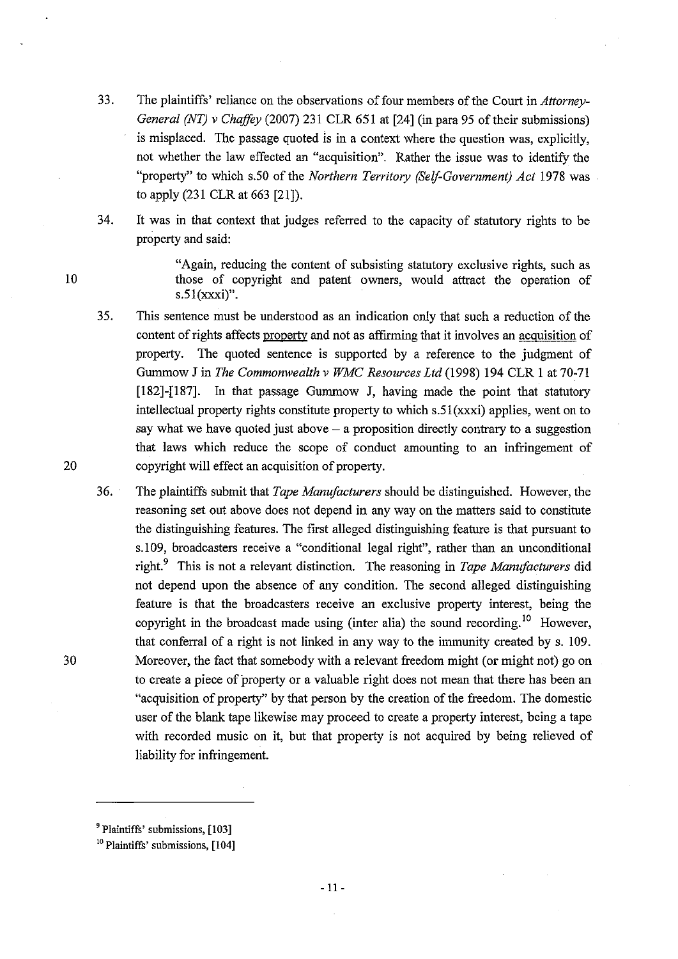- 33. The plaintiffs' reliance on the observations offour members of the Court in *Attorney-General (NT)* v *Chaffey* (2007) 231 CLR 651 at [24] (in para 95 of their submissions) is misplaced. The passage quoted is in a context where the question was, explicitly, not whether the law effected an "acquisition". Rather the issue was to identify the "property" to which s.5O of the *Northern Territory (Self-Government) Act* 1978 was to apply (231 CLR at 663 [21]).
- 34. It was in that context that judges referred to the capacity of statutory rights to be property and said:

"Again, reducing the content of subsisting statutory exclusive rights, such as those of copyright and patent owners, would attract the operation of s.5l (xxxi)".

- 35. This sentence must be understood as an indication only that such a reduction of the content of rights affects property and not as affirming that it involves an acquisition of property. The quoted sentence is supported by a reference to the judgment of Gummow J in *The Commonwealth* v *WMC Resources Ltd* (1998) 194 CLR 1 at 70:71 [182]-[187]. In that passage Gummow J, having made the point that statutory intellectual property rights constitute property to which  $s.51(xxxi)$  applies, went on to say what we have quoted just above  $-$  a proposition directly contrary to a suggestion that laws which reduce the scope of conduct amounting to an infringement of copyright will effect an acquisition of property.
- 36. The plaintiffs submit that *Tape Manufacturers* should be distinguished. However, the reasoning set out above does not depend in any way on the matters said to constitute the distinguishing features. The first alleged distinguishing feature is that pursuant to s.109, broadcasters receive a "conditional legal right", rather than an unconditional right. 9 This is not a relevant distinction. The reasoning in *Tape Manufacturers* did not depend upon the absence of any condition. The second alleged distinguishing feature is that the broadcasters receive an exclusive property interest, being the copyright in the broadcast made using (inter alia) the sound recording.<sup>10</sup> However, that conferral of a right is not linked in any way to the immunity created by s. 109. Moreover, the fact that somebody with a relevant freedom might (or might not) go on to create a piece of property or a valuable right does not mean that there has been an "acquisition of property" by that person by the creation of the freedom. The domestic user of the blank tape likewise may proceed to create a property interest, being a tape with recorded music on it, but that property is not acquired by being relieved of liability for infringement.

10

<sup>&</sup>lt;sup>9</sup> Plaintiffs' submissions, [103]

<sup>&</sup>lt;sup>10</sup> Plaintiffs' submissions, [104]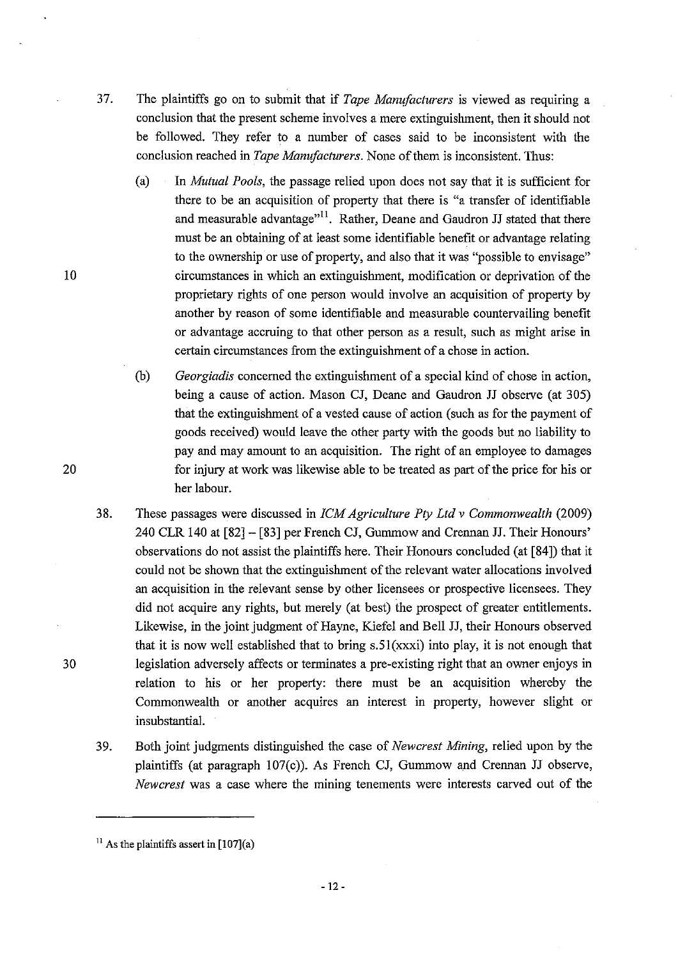- 37. The plaintiffs go on to submit that if *Tape Manufacturers* is viewed as requiring a conclusion that the present scheme involves a mere extinguishment, then it should not be followed. They refer to a number of cases said to be inconsistent with the conclusion reached in *Tape Manufacturers.* None of them is inconsistent. Thus:
	- (a) In *Mutual Pools,* the passage relied upon does not say that it is sufficient for there to be an acquisition of property that there is "a transfer of identifiable and measurable advantage"<sup>11</sup>. Rather, Deane and Gaudron JJ stated that there must be an obtaining of at least some identifiable benefit or advantage relating to the ownership or use of property, and also that it was "possible to envisage" circumstances in which an extinguishment, modification or deprivation of the proprietary rights of one person would involve an acquisition of property by another by reason of some identifiable and measurable countervailing benefit or advantage accruing to that other person as a result, such as might arise in certain circumstances from the extinguishment of a chose in action.
	- (b) *Georgiadis* concerned the extinguishment of a special kind of chose in action, being a cause of action. Mason CJ, Deane and Gaudron JJ observe (at 305) that the extinguishment of a vested cause of action (such as for the payment of goods received) would leave the other party with the goods but no liability to pay and may amount to an acquisition. The right of an employee to damages for injury at work was likewise able to be treated as part of the price for his or her labour.
- 38. These passages were discussed in *ICM Agriculture Pty Ltd* v *Commonwealth (2009)*  240 CLR 140 at [82]- [83] per French CJ, Gummowand Crennan JJ. Their Honours' observations do not assist the plaintiffs here. Their Honours concluded (at [84]) that it could not be shown that the extinguishment of the relevant water allocations involved an acquisition in the relevant sense by other licensees or prospective licensees. They did not acquire any rights, but merely (at best) the prospect of greater entitlements. Likewise, in the joint judgment of Hayne, Kiefel and Bell JJ, their Honours observed that it is now well established that to bring s.51(xxxi) into play, it is not enough that legislation adversely affects or terminates a pre-existing right that an owner enjoys in relation to his or her property: there must be an acquisition whereby the Commonwealth or another acquires an interest in property, however slight or insubstantial.
- 39. Both joint judgments distinguished the case of *Newcrest Mining,* relied upon by the plaintiffs (at paragraph 107(c)). As French CJ, Gummow and Crennan JJ observe, *Newcrest* was a case where the mining tenements were interests carved out of the

10

20

 $11$  As the plaintiffs assert in [107](a)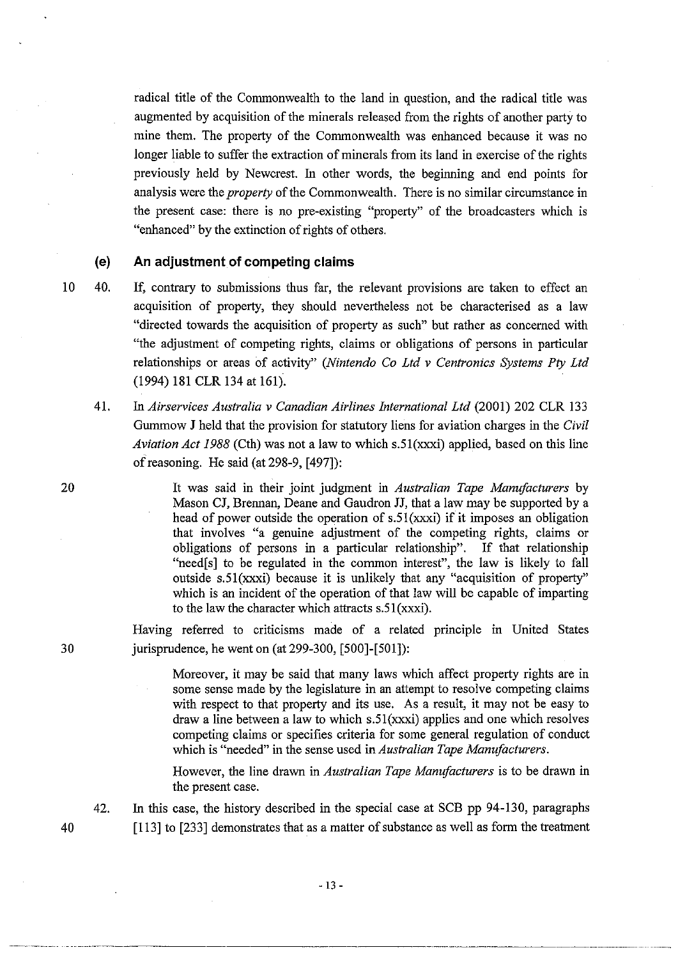radical title of the Commonwealth to the land in question, and the radical title was augmented by acquisition of the minerals released from the rights of another party to mine them. The property of the Commonwealth was enhanced because it was no longer liable to suffer the extraction of minerals from its land in exercise of the rights previously held by Newcrest. In other words, the beginning and end points for analysis were the *property* of the Commonwealth. There is no similar circumstance in the present case: there is no pre-existing "property" of the broadcasters which is "enhanced" by the extinction of rights of others.

**(e) An adjustment of competing claims** 

- 10 40. If, contrary to submissions thus far, the relevant provisions are taken to effect an acquisition of property, they should nevertheless not be characterised as a law "directed towards the acquisition of property as such" but rather as concerned with "the adjustment of competing rights, claims or obligations of persons in particular relationships or areas of activity" *(Nintendo Co Ltd* v *Centronics Systems Pty Ltd*  (1994) 181 CLR 134 at 161).
	- 41. In *Airservices Australia* v *Canadian Airlines International Ltd* (2001) 202 CLR 133 Gummow J held that the provision for statutory liens for aviation charges in the *Civil Aviation Act* 1988 (Cth) was not a law to which s.51(xxxi) applied, based on this line of reasoning. He said (at 298-9, [497]):

It was said in their joint judgment in *Australian Tape Manufacturers* by Mason CJ, Brennan, Deane and Gaudron JJ, that a law may be supported by a head of power outside the operation of s.51(xxxi) if it imposes an obligation that involves "a genuine adjustment of the competing rights, claims or obligations of persons in a particular relationship". If that relationship "need[s] to be regulated in the common interest", the law is likely to fall outside s.51(xxxi) because it is unlikely that any "acquisition of property" which is an incident of the operation of that law will be capable of imparting to the law the character which attracts s.51(xxxi).

Having referred to criticisms made of a related principle in United States 30 jurisprudence, he went on (at 299-300, [500]-[501]):

> Moreover, it may be said that many laws which affect property rights are in some sense made by the legislature in an attempt to resolve competing claims with respect to that property and its use. As a result, it may not be easy to draw a line between a law to which s.51(xxxi) applies and one which resolves competing claims or specifies criteria for some general regulation of conduct which is "needed" in the sense used in *Australian Tape Manufacturers.*

> However, the line drawn in *Australian Tape Manufacturers* is to be drawn in the present case.

42. In this case, the history described in the special case at SCB pp 94-130, paragraphs [113] to [233] demonstrates that as a matter of substance as well as form the treatment

20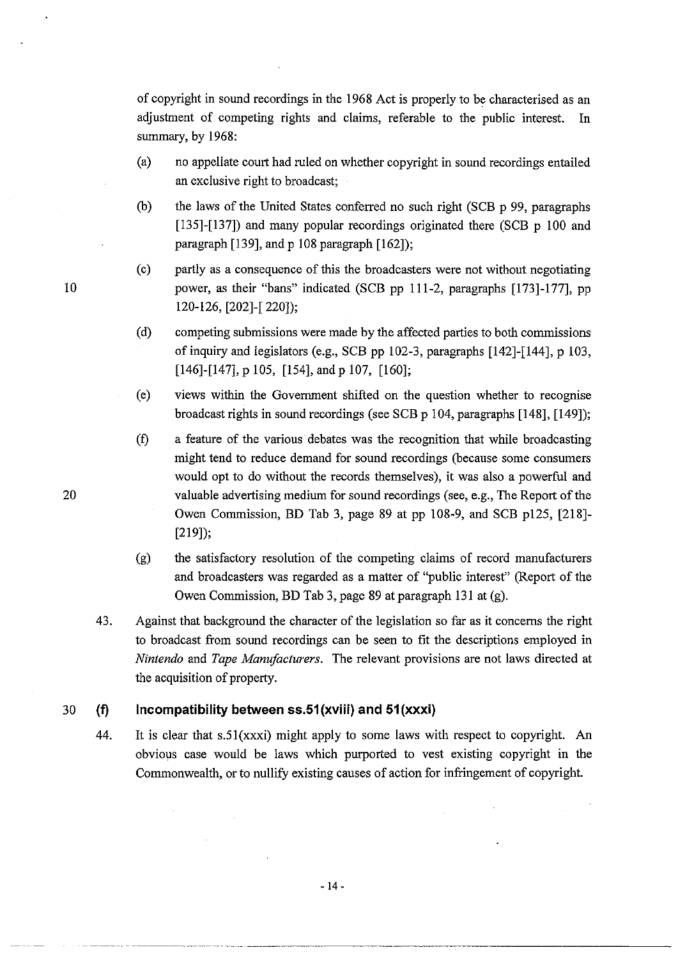of copyright in sound recordings in the 1968 Act is properly to be characterised as an adjustment of competing rights and claims, referable to the public interest. In summary, by 1968:

- (a) no appellate court had ruled on whether copyright in sound recordings entailed an exclusive right to broadcast;
- (b) the laws of the United States conferred no such right (SCB p 99, paragraphs [135]-[137]) and many popular recordings originated there (SCB p 100 and paragraph [139], and p 108 paragraph [162]);
- (c) partly as a consequence of this the broadcasters were not without negotiating power, as their "bans" indicated (SCB pp 111-2, paragraphs [173]-177], pp 120-126, [202]-[ 220]);
- (d) competing submissions were made by the affected parties to both commissions of inquiry and legislators (e.g., SCB pp 102-3, paragraphs [142]-[144], p 103, [146]-[147], p 105, [154], and p 107, [160];
- (e) views within the Government shifted on the question whether to recognise broadcast rights in sound recordings (see SCB p 104, paragraphs [148], [149]);
- (t) a feature of the various· debates was the recognition that while broadcasting might tend to reduce demand for sound recordings (because some consumers would opt to do without the records themselves), it was also a powerful and valuable advertising medium for sound recordings (see, e.g., The Report of the Owen Commission, BD Tab 3, page 89 at pp 108-9, and SCB p125, [218]- [219]);
- (g) the satisfactory resolution of the competing claims of record manufacturers and broadcasters was regarded as a matter of "public interest" (Report of the Owen Commission, BD Tab 3, page 89 at paragraph 131 at (g).
- 43. Against that background the character of the legislation so far as it concerns the right to broadcast from sound recordings can be seen to fit the descriptions employed in *Nintendo* and *Tape Manufacturers.* The relevant provisions are not laws directed at the acquisition of property.

## 30 **(f) Incompatibility between 55.51 (xviii) and 51 (xxxi)**

44. It is clear that  $s.51(xxxi)$  might apply to some laws with respect to copyright. An obvious case would be laws which purported to vest existing copyright in the Commonwealth, or to nullify existing causes of action for infringement of copyright.

10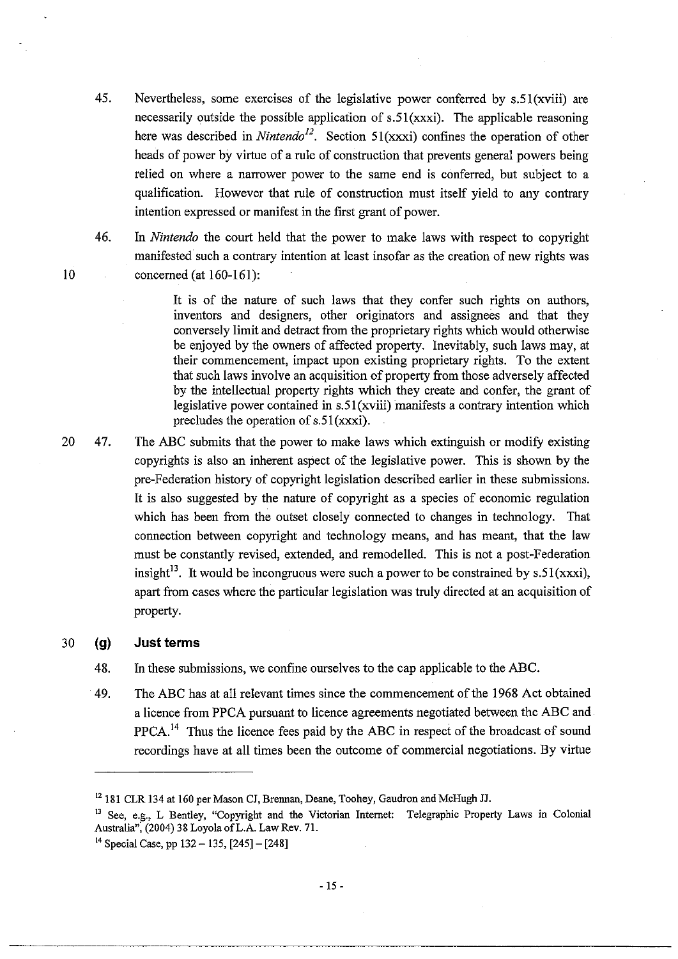- 45. Nevertheless, some exercises of the legislative power conferred by s.51(xviii) are necessarily outside the possible application of s.51(xxxi). The applicable reasoning here was described in *Nintendo<sup>12</sup>*. Section 51(xxxi) confines the operation of other heads of power by virtue of a rule of construction that prevents general powers being relied on where a narrower power to the same end is conferred, but subject to a qualification. However that rule of construction must itself yield to any contrary intention expressed or manifest in the first grant of power.
- 46. In *Nintendo* the court held that the power to make laws with respect to copyright manifested such a contrary intention at least insofar as the creation of new rights was concerned (at 160-161):

It is of the nature of such laws that they confer such rights on authors, inventors and designers, other originators and assignees and that they conversely limit and detract from the proprietary rights which would otherwise be enjoyed by the owners of affected property. Inevitably, such laws may, at their commencement, impact upon existing proprietary rights. To the extent that such laws involve an acquisition of property from those adversely affected by the intellectual property rights which they create and confer, the grant of legislative power contained in  $s.51(xviii)$  manifests a contrary intention which precludes the operation of s.51(xxxi).

20 47. The ABC submits that the power to make laws which extinguish or modify existing copyrights is also an inherent aspect of the legislative power. This is shown by the pre-Federation history of copyright legislation described earlier in these submissions. It is also suggested by the nature of copyright as a species of economic regulation which has been from the outset closely connected to changes in technology. That connection between copyright and technology means, and has meant, that the law must be constantly revised, extended, and remodelled. This is not a post-Federation insight<sup>13</sup>. It would be incongruous were such a power to be constrained by s.51(xxxi), apart from cases where the particular legislation was truly directed at an acquisition of property.

## 30 **(g) Just terms**

- 48. In these submissions, we confine ourselves to the cap applicable to the ABC.
- 49. The ABC has at all relevant times since the commencement of the 1968 Act obtained a licence from PPCA pursuant to licence agreements negotiated between the ABC and PPCA.<sup>14</sup> Thus the licence fees paid by the ABC in respect of the broadcast of sound recordings have at all times been the outcome of commercial negotiations. By virtue

<sup>&</sup>lt;sup>12</sup> 181 CLR 134 at 160 per Mason CJ, Brennan, Deane, Toohey, Gaudron and McHugh JJ.

<sup>&</sup>lt;sup>13</sup> See, e.g., L Bentley, "Copyright and the Victorian Internet: Telegraphic Property Laws in Colonial Australia'': (2004) 38 Loyola ofL.A. Law Rev. 71.

<sup>&</sup>lt;sup>14</sup> Special Case, pp  $132 - 135$ ,  $[245] - [248]$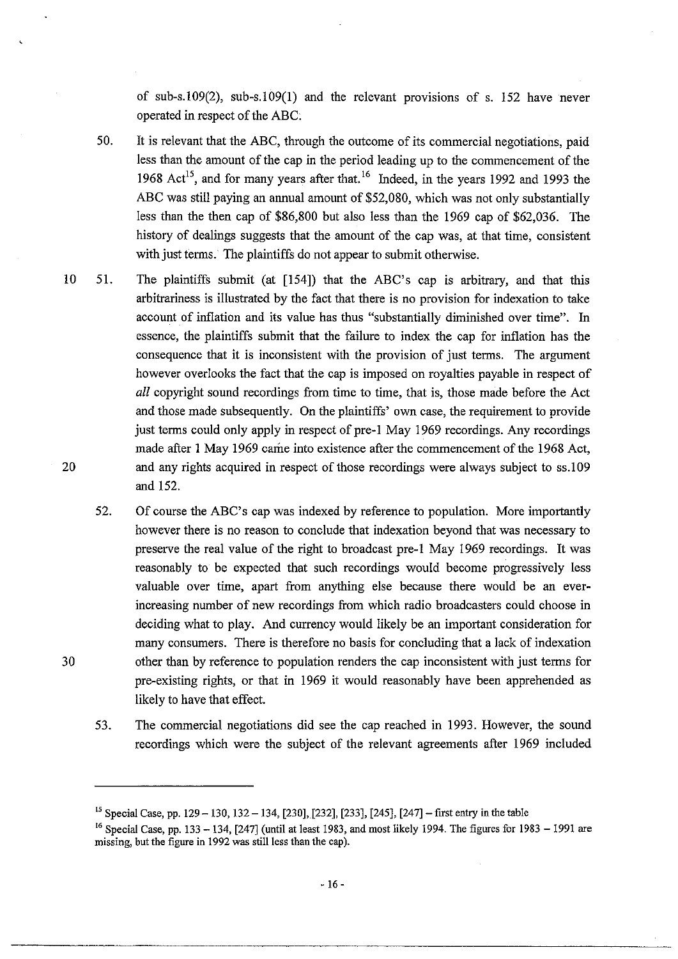of sub-s.l09(2), sub-s.l09(1) and the relevant provisions of s. 152 have never operated in respect of the ABC:

50. It is relevant that the ABC, through the outcome of its commercial negotiations, paid less than the amount of the cap in the period leading up to the commencement of the 1968 Act<sup>15</sup>, and for many years after that.<sup>16</sup> Indeed, in the years 1992 and 1993 the ABC was still paying an annual amount of \$52,080, which was not only substantially less than the then cap of \$86,800 but also less than the 1969 cap of \$62,036. The history of dealings suggests that the amount of the cap was, at that time, consistent with just terms. The plaintiffs do not appear to submit otherwise.

- 10 51. The plaintiffs submit (at [154]) that the ABC's cap is arbitrary, and that this arbitrariness is illustrated by the fact that there is no provision for indexation to take account of inflation and its value has thus "substantially diminished over time". In essence, the plaintiffs submit that the failure to index the cap for inflation has the consequence that it is inconsistent with the provision of just terms. The argument however overlooks the fact that the cap is imposed on royalties payable in respect of *all* copyright sound recordings from time to time, that is, those made before the Act and those made subsequently. On the plaintiffs' own case, the requirement to provide just terms could only apply in respect of pre-1 May 1969 recordings. Any recordings made after 1 May 1969 came into existence after the commencement of the 1968 Act, and any rights acquired in respect of those recordings were always subject to ss.l09 and 152. 20
	- 52. Of course the ABC's cap was indexed by reference to population. More importantly however there is no reason to conclude that indexation beyond that was necessary to preserve the real value of the right to broadcast pre-l May 1969 recordings. It was reasonably to be expected that such recordings would become progressively less valuable over time, apart from anything else because there would be an everincreasing number of new recordings from which radio broadcasters could choose in deciding what to play. And currency would likely be an important consideration for many consumers. There is therefore no basis for concluding that a lack of indexation other than by reference to population renders the cap inconsistent with just terms for pre-existing rights, or that in 1969 it would reasonably have been apprehended as likely to have that effect.
	- 53. The commercial negotiations did see the cap reached in 1993. However, the sound recordings which were the subject of the relevant agreements after 1969 included

<sup>15</sup> Special Case, pp. 129 - 130, 132 - 134, [230], [232], [233], [245], [247]- first entry in the table

 $16$  Special Case, pp. 133 - 134, [247] (until at least 1983, and most likely 1994. The figures for 1983 - 1991 are missing, but the figure in 1992 was still less than the cap).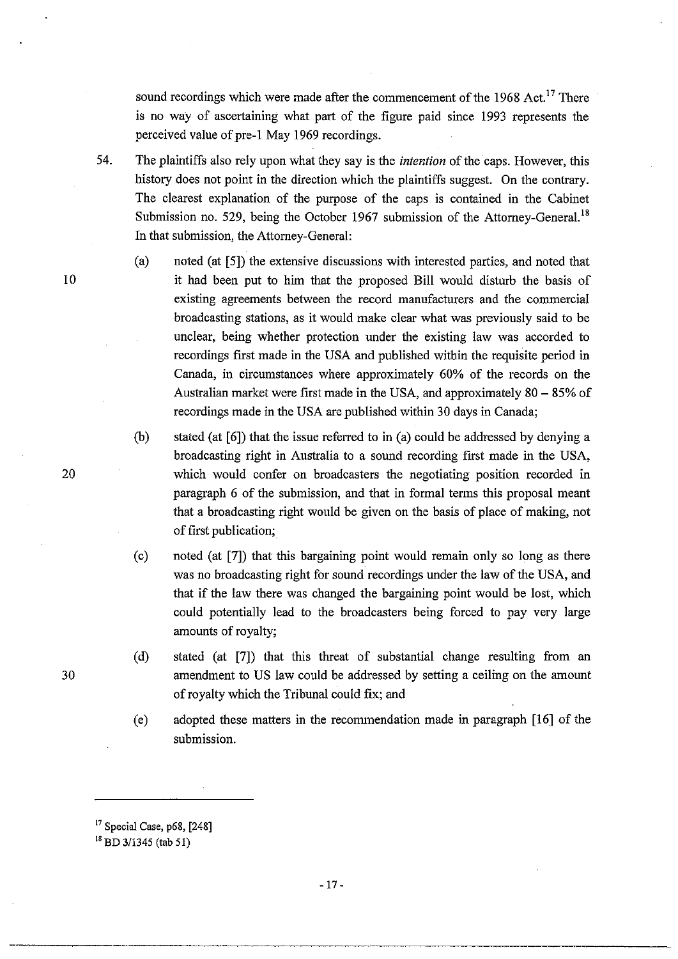sound recordings which were made after the commencement of the 1968 Act.<sup>17</sup> There is no way of ascertaining what part of the figure paid since 1993 represents the perceived value of pre-l May 1969 recordings.

54. The plaintiffs also rely upon what they say is the *intention* of the caps. However, this history does not point in the direction which the plaintiffs suggest. On the contrary. The clearest explanation of the purpose of the caps is contained in the Cabinet Submission no. 529, being the October 1967 submission of the Attorney-General.<sup>18</sup> In that submission, the Attorney-General:

- (a) noted (at [5]) the extensive discussions with interested parties, and noted that it had been put to him that the proposed Bill would disturb the basis of existing agreements between the record manufacturers and the commercial broadcasting stations, as it would make clear what was previously said to be unclear, being whether protection under the existing law was accorded to recordings first made in the USA and published within the requisite period in Canada, in circumstances where approximately 60% of the records on the Australian market were first made in the USA, and approximately  $80 - 85\%$  of recordings made in the USA are published within 30 days in Canada;
- (b) stated (at [6]) that the issue referred to in (a) could be addressed by denying a broadcasting right in Australia to a sound recording first made in the USA, which would confer on broadcasters the negotiating position recorded in paragraph 6 of the submission, and that in formal terms this proposal meant that a broadcasting right would be given on the basis of place of making, not of first publication;.
- (c) noted (at [7]) that this bargaining point would remain only so long as there was no broadcasting right for sound recordings under the law of the USA, and that if the law there was changed the bargaining point would be lost, which could potentially lead to the broadcasters being forced to pay very large amounts of royalty;
- (d) stated (at [7]) that this threat of substantial change resulting from an amendment to US law could be addressed by setting a ceiling on the amount of royalty which the Tribunal could fix; and

(e) adopted these matters in the recommendation made in paragraph [16] of the submission.

- 17-

20

10

 $17$  Special Case, p68, [248]

<sup>&</sup>lt;sup>18</sup> BD 3/1345 (tab 51)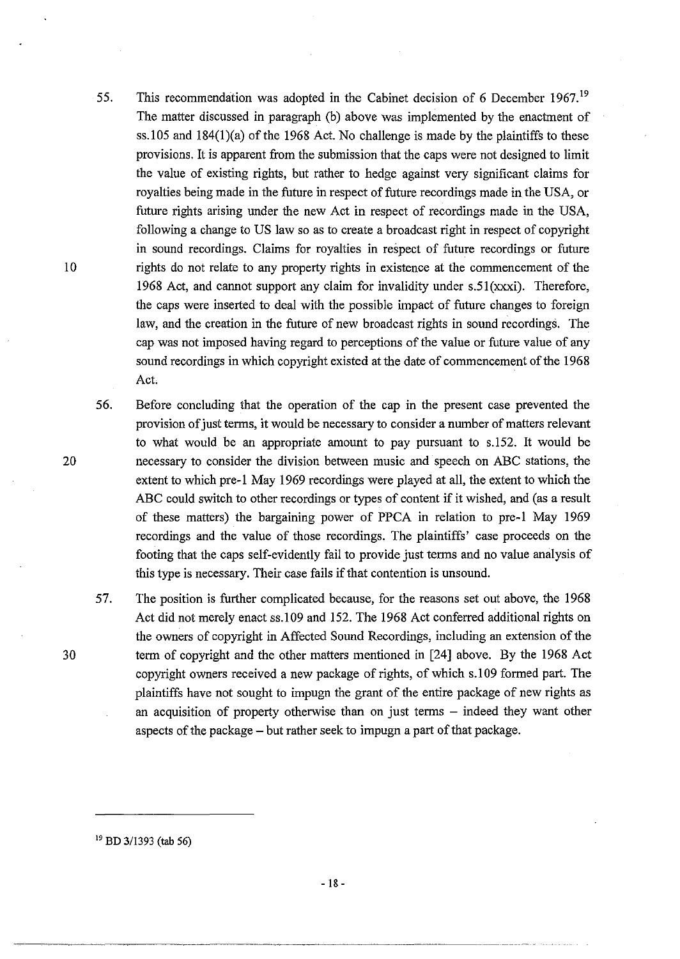- 55. This recommendation was adopted in the Cabinet decision of 6 December 1967.<sup>19</sup> The matter discussed in paragraph (b) above was implemented by the enactment of ss.105 and  $184(1)(a)$  of the 1968 Act. No challenge is made by the plaintiffs to these provisions. It is apparent from the submission that the caps were not designed to limit the value of existing rights, but rather to hedge against very significant claims for royalties being made in the future in respect of future recordings made in the USA, or future rights arising under the new Act in respect of recordings made in the USA, following a change to US law so as to create a broadcast right in respect of copyright in sound recordings. Claims for royalties in respect of future recordings or future rights do not relate to any property rights in existence at the commencement of the 1968 Act, and cannot support any claim for invalidity under  $s.51(xxxi)$ . Therefore, the caps were inserted to deal with the possible impact of future changes to foreign law, and the creation in the future of new broadcast rights in sound recordings. The cap was not imposed having regard to perceptions of the value or future value of any sound recordings in which copyright existed at the date of commencement of the 1968 Act.
- 56. Before concluding that the operation of the cap in the present case prevented the provision of just terms, it would be necessary to consider a number of matters relevant to what would be an appropriate amount to pay pursuant to s.l52. It would be necessary to consider the division between music and speech on ABC stations, the extent to which pre-l May 1969 recordings were played at all, the extent to which the ABC could switch to other recordings or types of content if it wished, and (as a result of these matters) the bargaining power of PPCA in relation to pre-l May 1969 recordings and the value of those recordings. The plaintiffs' case proceeds on the footing that the caps self-evidently fail to provide just terms and no value analysis of this type is necessary. Their case fails if that contention is unsound.
- 57. The position is further complicated because, for the reasons set out above, the 1968 Act did not merely enact ss. 109 and 152. The 1968 Act conferred additional rights on the owners of copyright in Affected Sound Recordings, including an extension of the term of copyright and the other matters mentioned in [24] above. By the 1968 Act copyright owners received a new package of rights, of which s.109 formed part. The plaintiffs have not sought to impugn the grant of the entire package of new rights as an acquisition of property otherwise than on just terms – indeed they want other aspects of the package - but rather seek to impugn a part of that package.

10

20

30

19 BD 3/1393 (tab 56)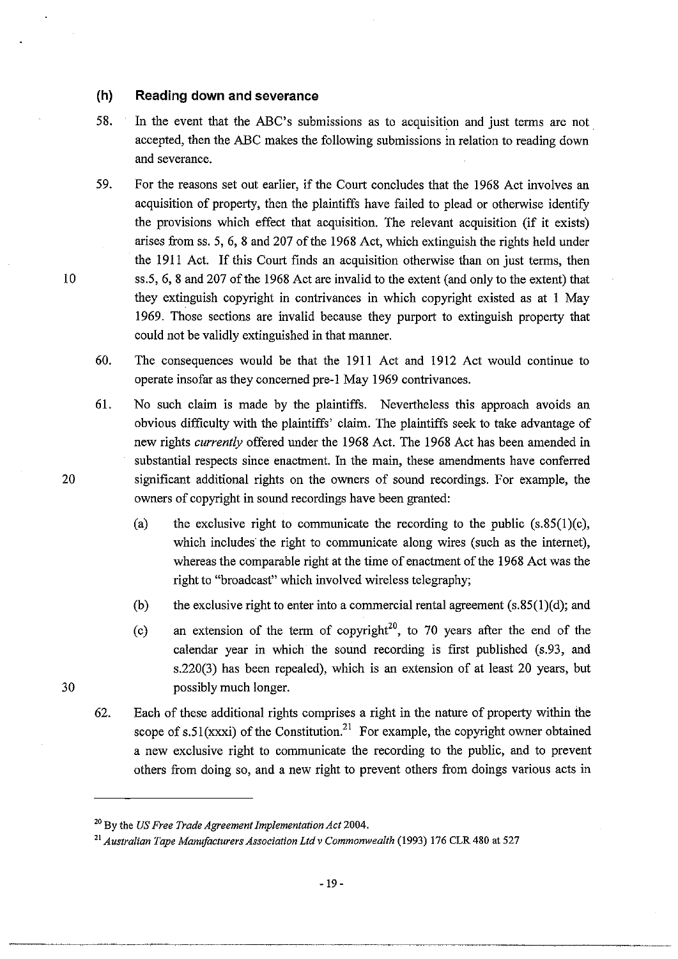## **(h) Reading down and severance**

- 58. In the event that the ABC's submissions as to acquisition and just terms are not. accepted, then the ABC makes the following submissions in relation to reading down and severance.
- 59. For the reasons set out earlier, if the Court concludes that the 1968 Act involves an acquisition of property, then the plaintiffs have failed to plead or otherwise identify the provisions which effect that acquisition. The relevant acquisition (if it exists) arises from ss. 5, 6, 8 and 207 of the 1968 Act, which extinguish the rights held under the 1911 Act. If this Court finds an acquisition otherwise than on just terms, then ss.5, 6, 8 and 207 of the 1968 Act are invalid to the extent (and only to the extent) that they extinguish copyright in contrivances in which copyright existed as at 1 May 1969. Those sections are invalid because they purport to extinguish property that could not be validly extinguished in that manner.
- 60. The consequences would be that the 1911 Act and 1912 Act would continue to operate insofar as they concerned pre-1 May 1969 contrivances.
- 61. No such claim is made by the plaintiffs. Nevertheless this approach avoids an obvious difficulty with the plaintiffs' claim. The plaintiffs seek to take advantage of new rights *currently* offered under the 1968 Act. The 1968 Act has been amended in substantial respects since enactment. In the main, these amendments have conferred significant additional rights on the owners of sound recordings. For example, the owners of copyright in sound recordings have been granted:
	- (a) the exclusive right to communicate the recording to the public  $(s.85(1)(c))$ , which includes the right to communicate along wires (such as the internet), whereas the comparable right at the time of enactment of the 1968 Act was the right to "broadcast" which involved wireless telegraphy;
	- (b) the exclusive right to enter into a commercial rental agreement  $(s.85(1)(d))$ ; and
	- (c) an extension of the term of copyright<sup>20</sup>, to 70 years after the end of the calendar year in which the sound recording is first published (s.93, and s.220(3) has been repealed), which is an extension of at least 20 years, but possibly much longer.
- 62. Each of these additional rights comprises a right in the nature of property within the scope of s.51(xxxi) of the Constitution.<sup>21</sup> For example, the copyright owner obtained a new exclusive right to communicate the recording to the public, and to prevent others from doing so, and a new right to prevent others from doings various acts in

10

20

<sup>20</sup> By the *US Free Trade Agreement Implementation Act 2004.* 

<sup>21</sup>*Australian Tape Manufacturers Association Ltd* v *Commonwealth* (1993) 176 CLR 480 at 527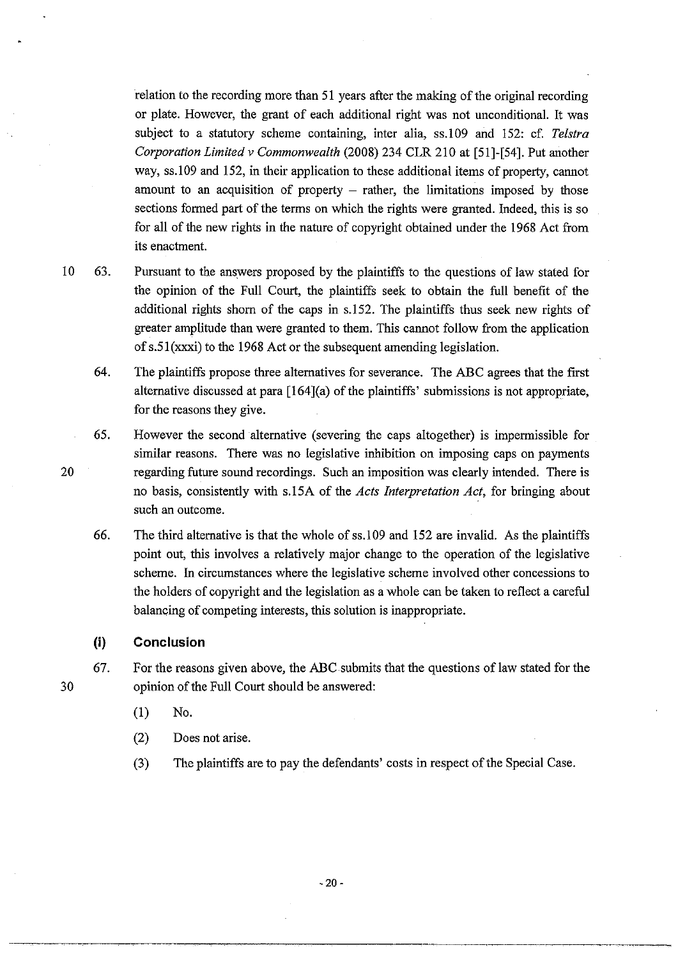relation to the recording more than 51 years after the making of the original recording or plate. However, the grant of each additional right was not unconditional. It was subject to a statutory scheme containing, inter alia, ss.109 and 152: cf. *Telstra Corporation Limited* v *Commonwealth* (2008) 234 CLR 210 at [51]-[54]. Put another way, ss.109 and 152, in their application to these additional items of property, cannot amount to an acquisition of property  $-$  rather, the limitations imposed by those sections formed part of the terms on which the rights were granted. Indeed, this is so for all of the new rights in the nature of copyright obtained under the 1968 Act from its enactment.

- 10 63. Pursuant to the answers proposed by the plaintiffs to the questions of law stated for the opinion of the Full Court, the plaintiffs seek to obtain the full benefit of the additional rights shorn of the caps in s.152. The plaintiffs thus seek new rights of greater amplitude than were granted to them. This cannot follow from the application of  $s.51$ (xxxi) to the 1968 Act or the subsequent amending legislation.
	- 64. The plaintiffs propose three alternatives for severance. The ABC agrees that the first alternative discussed at para [164](a) of the plaintiffs' submissions is not appropriate, for the reasons they give.
	- 65. However the second alternative (severing the caps altogether) is impermissible for similar reasons. There was no legislative inhibition on imposing caps on payments regarding future sound recordings. Such an imposition was clearly intended. There is no basis, consistently with s.15A of the *Acts Interpretation Act,* for bringing about such an outcome.
	- 66. The third alternative is that the whole ofss.109 and 152 are invalid. As the plaintiffs point out, this involves a relatively major change to the operation of the legislative scheme. In circumstances where the legislative scheme involved other concessions to the holders of copyright and the legislation as a whole can be taken to reflect a careful balancing of competing interests, this solution is inappropriate.

#### **(i) Conclusion**

- 67. For the reasons given above, the ABC submits that the questions of law stated for the opinion of the Full Court should be answered:
	- (1) No.
	- (2) Does not arise.
	- (3) The plaintiffs are to pay the defendants' costs in respect of the Special Case.